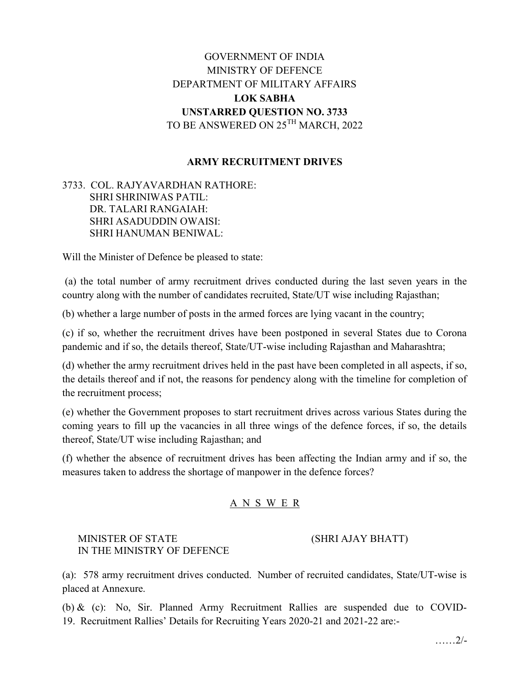# GOVERNMENT OF INDIA MINISTRY OF DEFENCE DEPARTMENT OF MILITARY AFFAIRS LOK SABHA UNSTARRED QUESTION NO. 3733 TO BE ANSWERED ON 25TH MARCH, 2022

### ARMY RECRUITMENT DRIVES

3733. COL. RAJYAVARDHAN RATHORE: SHRI SHRINIWAS PATIL: DR. TALARI RANGAIAH: SHRI ASADUDDIN OWAISI: SHRI HANUMAN BENIWAL:

Will the Minister of Defence be pleased to state:

 (a) the total number of army recruitment drives conducted during the last seven years in the country along with the number of candidates recruited, State/UT wise including Rajasthan;

(b) whether a large number of posts in the armed forces are lying vacant in the country;

(c) if so, whether the recruitment drives have been postponed in several States due to Corona pandemic and if so, the details thereof, State/UT-wise including Rajasthan and Maharashtra;

(d) whether the army recruitment drives held in the past have been completed in all aspects, if so, the details thereof and if not, the reasons for pendency along with the timeline for completion of the recruitment process;

(e) whether the Government proposes to start recruitment drives across various States during the coming years to fill up the vacancies in all three wings of the defence forces, if so, the details thereof, State/UT wise including Rajasthan; and

(f) whether the absence of recruitment drives has been affecting the Indian army and if so, the measures taken to address the shortage of manpower in the defence forces?

#### A N S W E R

#### MINISTER OF STATE (SHRI AJAY BHATT) IN THE MINISTRY OF DEFENCE

(a): 578 army recruitment drives conducted. Number of recruited candidates, State/UT-wise is placed at Annexure.

(b) & (c): No, Sir. Planned Army Recruitment Rallies are suspended due to COVID-19. Recruitment Rallies' Details for Recruiting Years 2020-21 and 2021-22 are:-

……2/-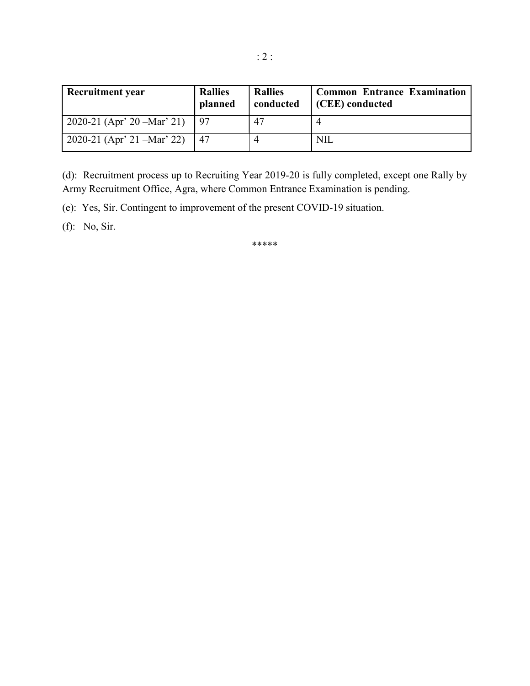| <b>Recruitment year</b>     | <b>Rallies</b><br>planned | <b>Rallies</b><br>conducted | <b>Common Entrance Examination</b><br>(CEE) conducted |
|-----------------------------|---------------------------|-----------------------------|-------------------------------------------------------|
| 2020-21 (Apr' 20 - Mar' 21) | 97                        | 47                          |                                                       |
| 2020-21 (Apr' 21 – Mar' 22) | 47                        |                             | NIL                                                   |

(d): Recruitment process up to Recruiting Year 2019-20 is fully completed, except one Rally by Army Recruitment Office, Agra, where Common Entrance Examination is pending.

(e): Yes, Sir. Contingent to improvement of the present COVID-19 situation.

(f): No, Sir.

\*\*\*\*\*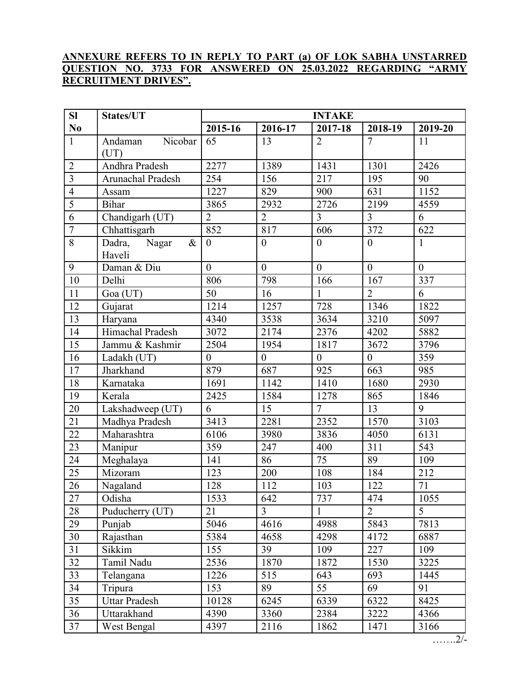## ANNEXURE REFERS TO IN REPLY TO PART (a) OF LOK SABHA UNSTARRED QUESTION NO. 3733 FOR ANSWERED ON 25.03.2022 REGARDING "ARMY RECRUITMENT DRIVES".

| SI             | States/UT                         | <b>INTAKE</b>  |                  |                  |                  |              |  |
|----------------|-----------------------------------|----------------|------------------|------------------|------------------|--------------|--|
| N <sub>0</sub> |                                   | 2015-16        | 2016-17          | 2017-18          | 2018-19          | 2019-20      |  |
| $\mathbf{1}$   | Nicobar<br>Andaman<br>(UT)        | 65             | 13               | $\overline{2}$   | $\tau$           | 11           |  |
| $\overline{2}$ | Andhra Pradesh                    | 2277           | 1389             | 1431             | 1301             | 2426         |  |
| $\overline{3}$ | Arunachal Pradesh                 | 254            | 156              | 217              | 195              | 90           |  |
| $\overline{4}$ | Assam                             | 1227           | 829              | 900              | 631              | 1152         |  |
| $\overline{5}$ | <b>Bihar</b>                      | 3865           | 2932             | 2726             | 2199             | 4559         |  |
| 6              | Chandigarh (UT)                   | $\overline{2}$ | $\overline{2}$   | $\overline{3}$   | $\overline{3}$   | 6            |  |
| $\overline{7}$ | Chhattisgarh                      | 852            | 817              | 606              | 372              | 622          |  |
| 8              | $\&$<br>Dadra,<br>Nagar<br>Haveli | $\theta$       | $\boldsymbol{0}$ | $\boldsymbol{0}$ | $\boldsymbol{0}$ | $\mathbf{1}$ |  |
| 9              | Daman & Diu                       | $\overline{0}$ | $\overline{0}$   | $\overline{0}$   | $\overline{0}$   | $\theta$     |  |
| 10             | Delhi                             | 806            | 798              | 166              | 167              | 337          |  |
| 11             | Goa (UT)                          | 50             | 16               | $\mathbf{1}$     | $\overline{2}$   | 6            |  |
| 12             | Gujarat                           | 1214           | 1257             | 728              | 1346             | 1822         |  |
| 13             | Haryana                           | 4340           | 3538             | 3634             | 3210             | 5097         |  |
| 14             | Himachal Pradesh                  | 3072           | 2174             | 2376             | 4202             | 5882         |  |
| 15             | Jammu & Kashmir                   | 2504           | 1954             | 1817             | 3672             | 3796         |  |
| 16             | Ladakh (UT)                       | $\overline{0}$ | $\boldsymbol{0}$ | $\boldsymbol{0}$ | $\mathbf{0}$     | 359          |  |
| 17             | Jharkhand                         | 879            | 687              | 925              | 663              | 985          |  |
| 18             | Karnataka                         | 1691           | 1142             | 1410             | 1680             | 2930         |  |
| 19             | Kerala                            | 2425           | 1584             | 1278             | 865              | 1846         |  |
| 20             | Lakshadweep (UT)                  | 6              | 15               | $\overline{7}$   | 13               | 9            |  |
| 21             | Madhya Pradesh                    | 3413           | 2281             | 2352             | 1570             | 3103         |  |
| 22             | Maharashtra                       | 6106           | 3980             | 3836             | 4050             | 6131         |  |
| 23             | Manipur                           | 359            | 247              | 400              | 311              | 543          |  |
| 24             | Meghalaya                         | 141            | 86               | 75               | 89               | 109          |  |
| 25             | Mizoram                           | 123            | 200              | 108              | 184              | 212          |  |
| 26             | Nagaland                          | 128            | 112              | 103              | 122              | 71           |  |
| 27             | Odisha                            | 1533           | 642              | 737              | 474              | 1055         |  |
| 28             | Puducherry (UT)                   | 21             | 3                | $\mathbf{1}$     | $\overline{2}$   | 5            |  |
| 29             | Punjab                            | 5046           | 4616             | 4988             | 5843             | 7813         |  |
| 30             | Rajasthan                         | 5384           | 4658             | 4298             | 4172             | 6887         |  |
| 31             | Sikkim                            | 155            | 39               | 109              | 227              | 109          |  |
| 32             | Tamil Nadu                        | 2536           | 1870             | 1872             | 1530             | 3225         |  |
| 33             | Telangana                         | 1226           | 515              | 643              | 693              | 1445         |  |
| 34             | Tripura                           | 153            | 89               | 55               | 69               | 91           |  |
| 35             | <b>Uttar Pradesh</b>              | 10128          | 6245             | 6339             | 6322             | 8425         |  |
| 36             | Uttarakhand                       | 4390           | 3360             | 2384             | 3222             | 4366         |  |
| 37             | West Bengal                       | 4397           | 2116             | 1862             | 1471             | 3166         |  |

…….2/-